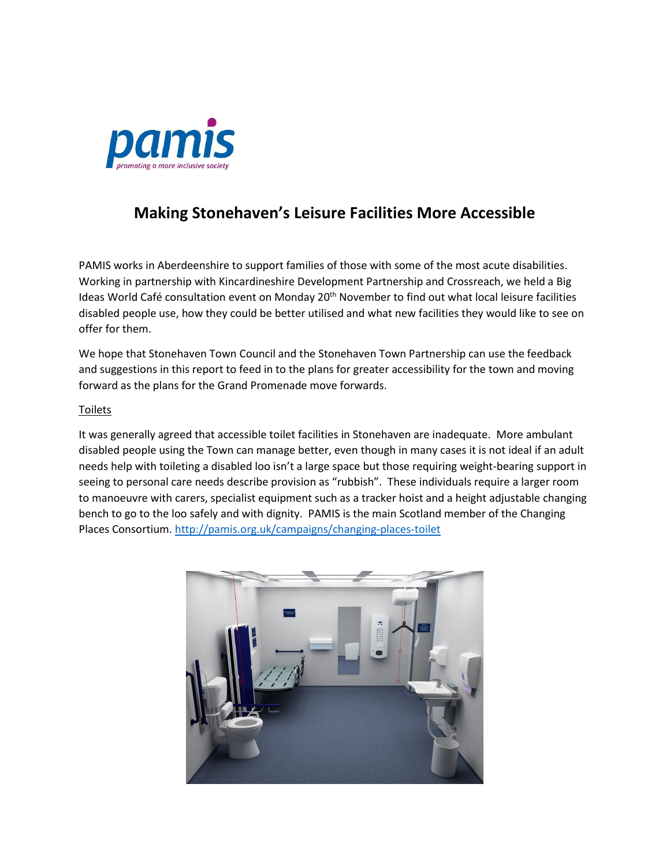

# **Making Stonehaven's Leisure Facilities More Accessible**

PAMIS works in Aberdeenshire to support families of those with some of the most acute disabilities. Working in partnership with Kincardineshire Development Partnership and Crossreach, we held a Big Ideas World Café consultation event on Monday 20<sup>th</sup> November to find out what local leisure facilities disabled people use, how they could be better utilised and what new facilities they would like to see on offer for them.

We hope that Stonehaven Town Council and the Stonehaven Town Partnership can use the feedback and suggestions in this report to feed in to the plans for greater accessibility for the town and moving forward as the plans for the Grand Promenade move forwards.

## Toilets

It was generally agreed that accessible toilet facilities in Stonehaven are inadequate. More ambulant disabled people using the Town can manage better, even though in many cases it is not ideal if an adult needs help with toileting a disabled loo isn't a large space but those requiring weight-bearing support in seeing to personal care needs describe provision as "rubbish". These individuals require a larger room to manoeuvre with carers, specialist equipment such as a tracker hoist and a height adjustable changing bench to go to the loo safely and with dignity. PAMIS is the main Scotland member of the Changing Places Consortium. <http://pamis.org.uk/campaigns/changing-places-toilet>

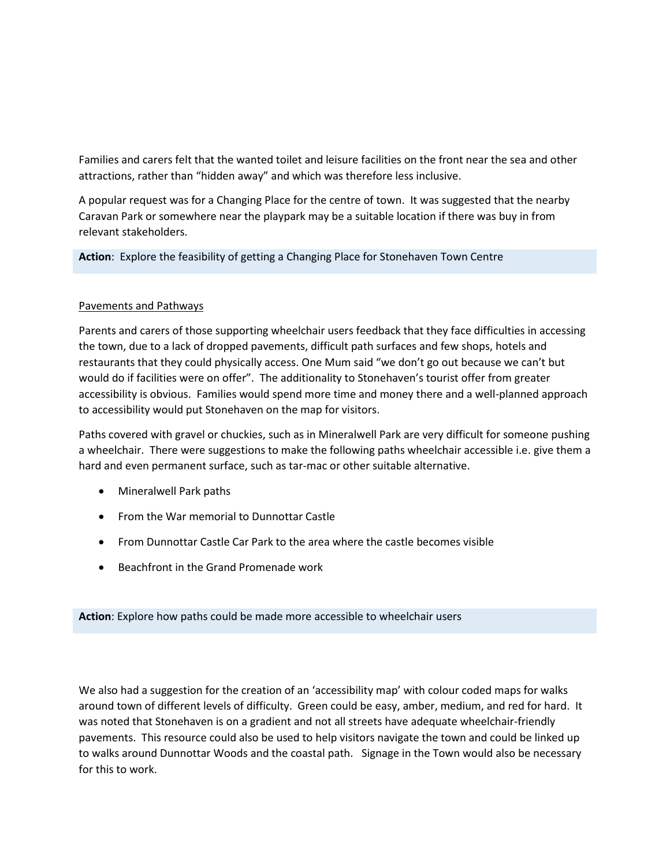Families and carers felt that the wanted toilet and leisure facilities on the front near the sea and other attractions, rather than "hidden away" and which was therefore less inclusive.

A popular request was for a Changing Place for the centre of town. It was suggested that the nearby Caravan Park or somewhere near the playpark may be a suitable location if there was buy in from relevant stakeholders.

**Action**: Explore the feasibility of getting a Changing Place for Stonehaven Town Centre

# Pavements and Pathways

Parents and carers of those supporting wheelchair users feedback that they face difficulties in accessing the town, due to a lack of dropped pavements, difficult path surfaces and few shops, hotels and restaurants that they could physically access. One Mum said "we don't go out because we can't but would do if facilities were on offer". The additionality to Stonehaven's tourist offer from greater accessibility is obvious. Families would spend more time and money there and a well-planned approach to accessibility would put Stonehaven on the map for visitors.

Paths covered with gravel or chuckies, such as in Mineralwell Park are very difficult for someone pushing a wheelchair. There were suggestions to make the following paths wheelchair accessible i.e. give them a hard and even permanent surface, such as tar-mac or other suitable alternative.

- Mineralwell Park paths
- From the War memorial to Dunnottar Castle
- From Dunnottar Castle Car Park to the area where the castle becomes visible
- Beachfront in the Grand Promenade work

**Action**: Explore how paths could be made more accessible to wheelchair users

We also had a suggestion for the creation of an 'accessibility map' with colour coded maps for walks around town of different levels of difficulty. Green could be easy, amber, medium, and red for hard. It was noted that Stonehaven is on a gradient and not all streets have adequate wheelchair-friendly pavements. This resource could also be used to help visitors navigate the town and could be linked up to walks around Dunnottar Woods and the coastal path. Signage in the Town would also be necessary for this to work.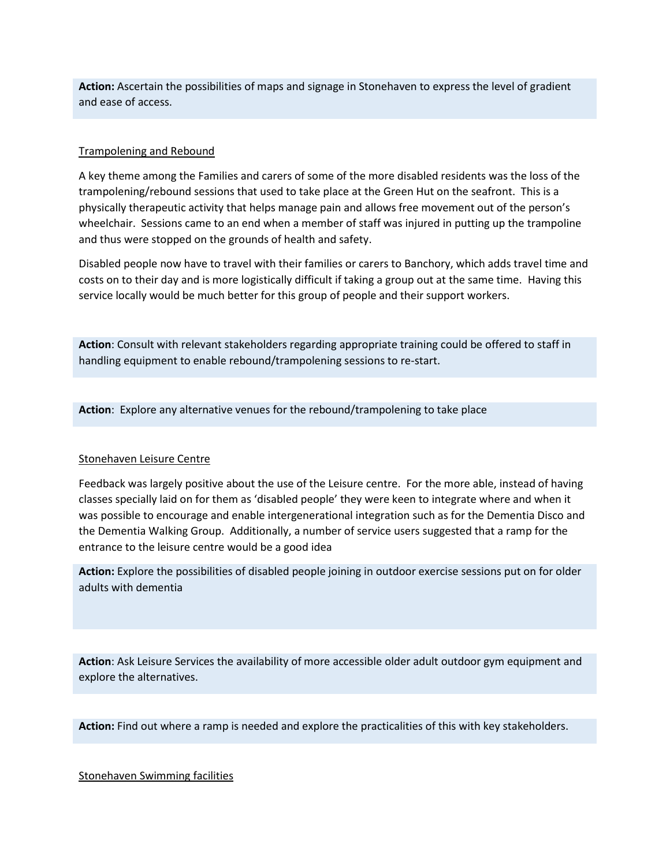**Action:** Ascertain the possibilities of maps and signage in Stonehaven to express the level of gradient and ease of access.

## Trampolening and Rebound

A key theme among the Families and carers of some of the more disabled residents was the loss of the trampolening/rebound sessions that used to take place at the Green Hut on the seafront. This is a physically therapeutic activity that helps manage pain and allows free movement out of the person's wheelchair. Sessions came to an end when a member of staff was injured in putting up the trampoline and thus were stopped on the grounds of health and safety.

Disabled people now have to travel with their families or carers to Banchory, which adds travel time and costs on to their day and is more logistically difficult if taking a group out at the same time. Having this service locally would be much better for this group of people and their support workers.

**Action**: Consult with relevant stakeholders regarding appropriate training could be offered to staff in handling equipment to enable rebound/trampolening sessions to re-start.

**Action**: Explore any alternative venues for the rebound/trampolening to take place

### Stonehaven Leisure Centre

Feedback was largely positive about the use of the Leisure centre. For the more able, instead of having classes specially laid on for them as 'disabled people' they were keen to integrate where and when it was possible to encourage and enable intergenerational integration such as for the Dementia Disco and the Dementia Walking Group. Additionally, a number of service users suggested that a ramp for the entrance to the leisure centre would be a good idea

**Action:** Explore the possibilities of disabled people joining in outdoor exercise sessions put on for older adults with dementia

**Action**: Ask Leisure Services the availability of more accessible older adult outdoor gym equipment and explore the alternatives.

**Action:** Find out where a ramp is needed and explore the practicalities of this with key stakeholders.

### Stonehaven Swimming facilities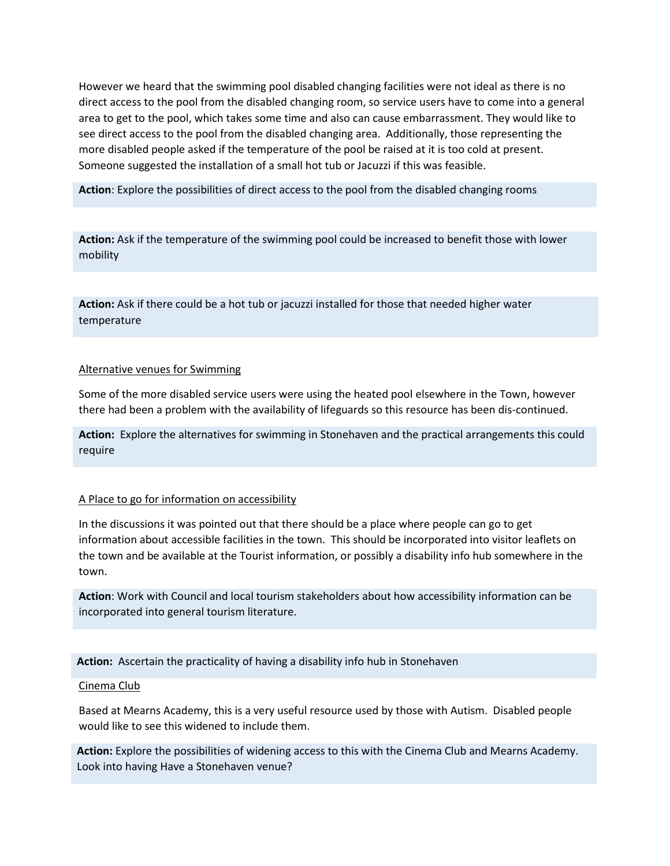However we heard that the swimming pool disabled changing facilities were not ideal as there is no direct access to the pool from the disabled changing room, so service users have to come into a general area to get to the pool, which takes some time and also can cause embarrassment. They would like to see direct access to the pool from the disabled changing area. Additionally, those representing the more disabled people asked if the temperature of the pool be raised at it is too cold at present. Someone suggested the installation of a small hot tub or Jacuzzi if this was feasible.

**Action**: Explore the possibilities of direct access to the pool from the disabled changing rooms

**Action:** Ask if the temperature of the swimming pool could be increased to benefit those with lower mobility

**Action:** Ask if there could be a hot tub or jacuzzi installed for those that needed higher water temperature

## Alternative venues for Swimming

Some of the more disabled service users were using the heated pool elsewhere in the Town, however there had been a problem with the availability of lifeguards so this resource has been dis-continued.

**Action:** Explore the alternatives for swimming in Stonehaven and the practical arrangements this could require

### A Place to go for information on accessibility

In the discussions it was pointed out that there should be a place where people can go to get information about accessible facilities in the town. This should be incorporated into visitor leaflets on the town and be available at the Tourist information, or possibly a disability info hub somewhere in the town.

**Action**: Work with Council and local tourism stakeholders about how accessibility information can be incorporated into general tourism literature.

**Action:** Ascertain the practicality of having a disability info hub in Stonehaven

### Cinema Club

Based at Mearns Academy, this is a very useful resource used by those with Autism. Disabled people would like to see this widened to include them.

**Action:** Explore the possibilities of widening access to this with the Cinema Club and Mearns Academy. Look into having Have a Stonehaven venue?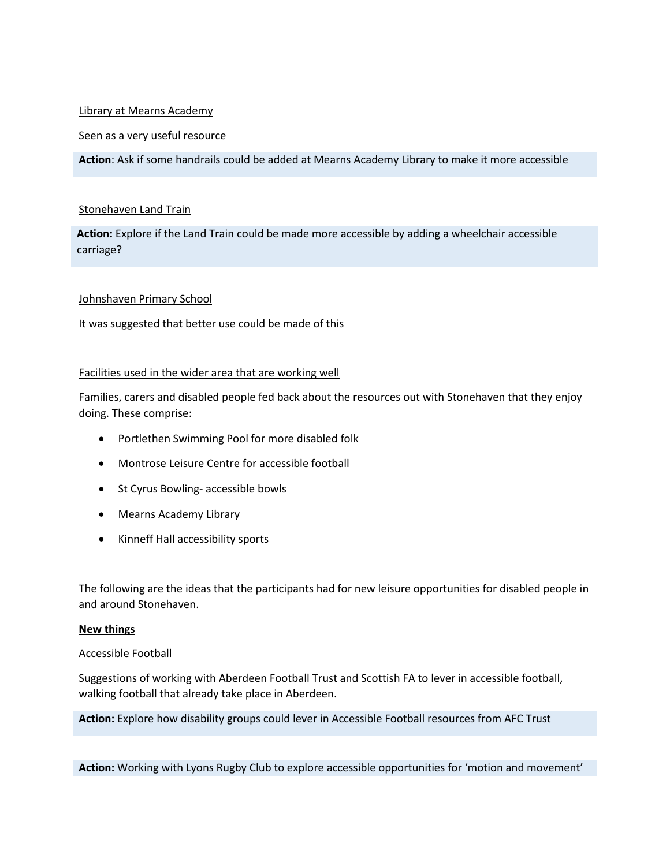## Library at Mearns Academy

## Seen as a very useful resource

**Action**: Ask if some handrails could be added at Mearns Academy Library to make it more accessible

## Stonehaven Land Train

**Action:** Explore if the Land Train could be made more accessible by adding a wheelchair accessible carriage?

## Johnshaven Primary School

It was suggested that better use could be made of this

## Facilities used in the wider area that are working well

Families, carers and disabled people fed back about the resources out with Stonehaven that they enjoy doing. These comprise:

- Portlethen Swimming Pool for more disabled folk
- Montrose Leisure Centre for accessible football
- St Cyrus Bowling- accessible bowls
- Mearns Academy Library
- Kinneff Hall accessibility sports

The following are the ideas that the participants had for new leisure opportunities for disabled people in and around Stonehaven.

### **New things**

### Accessible Football

Suggestions of working with Aberdeen Football Trust and Scottish FA to lever in accessible football, walking football that already take place in Aberdeen.

**Action:** Explore how disability groups could lever in Accessible Football resources from AFC Trust

**Action:** Working with Lyons Rugby Club to explore accessible opportunities for 'motion and movement'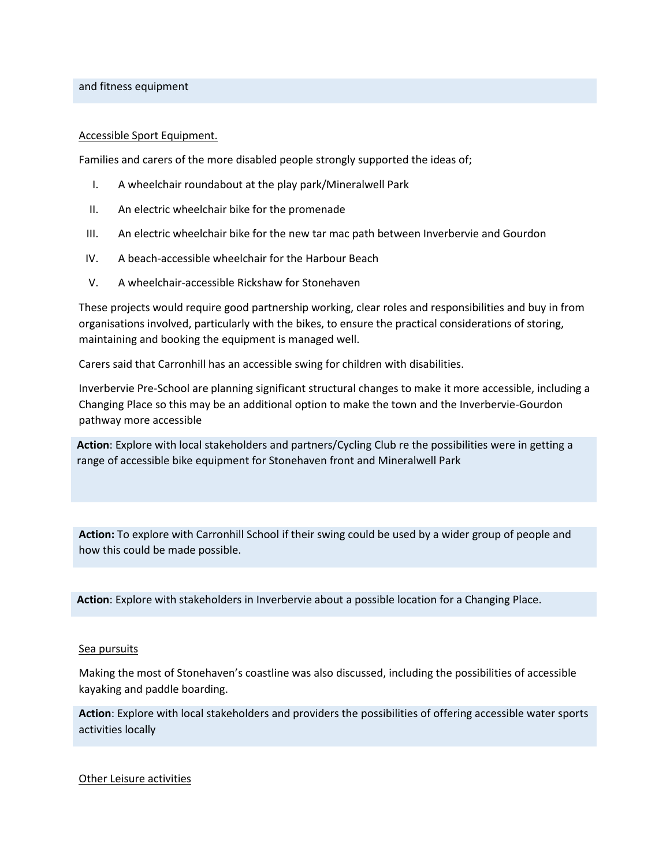and fitness equipment

### Accessible Sport Equipment.

Families and carers of the more disabled people strongly supported the ideas of;

- I. A wheelchair roundabout at the play park/Mineralwell Park
- II. An electric wheelchair bike for the promenade
- III. An electric wheelchair bike for the new tar mac path between Inverbervie and Gourdon
- IV. A beach-accessible wheelchair for the Harbour Beach
- V. A wheelchair-accessible Rickshaw for Stonehaven

These projects would require good partnership working, clear roles and responsibilities and buy in from organisations involved, particularly with the bikes, to ensure the practical considerations of storing, maintaining and booking the equipment is managed well.

Carers said that Carronhill has an accessible swing for children with disabilities.

Inverbervie Pre-School are planning significant structural changes to make it more accessible, including a Changing Place so this may be an additional option to make the town and the Inverbervie-Gourdon pathway more accessible

**Action**: Explore with local stakeholders and partners/Cycling Club re the possibilities were in getting a range of accessible bike equipment for Stonehaven front and Mineralwell Park

**Action:** To explore with Carronhill School if their swing could be used by a wider group of people and how this could be made possible.

**Action**: Explore with stakeholders in Inverbervie about a possible location for a Changing Place.

### Sea pursuits

Making the most of Stonehaven's coastline was also discussed, including the possibilities of accessible kayaking and paddle boarding.

**Action**: Explore with local stakeholders and providers the possibilities of offering accessible water sports activities locally

Other Leisure activities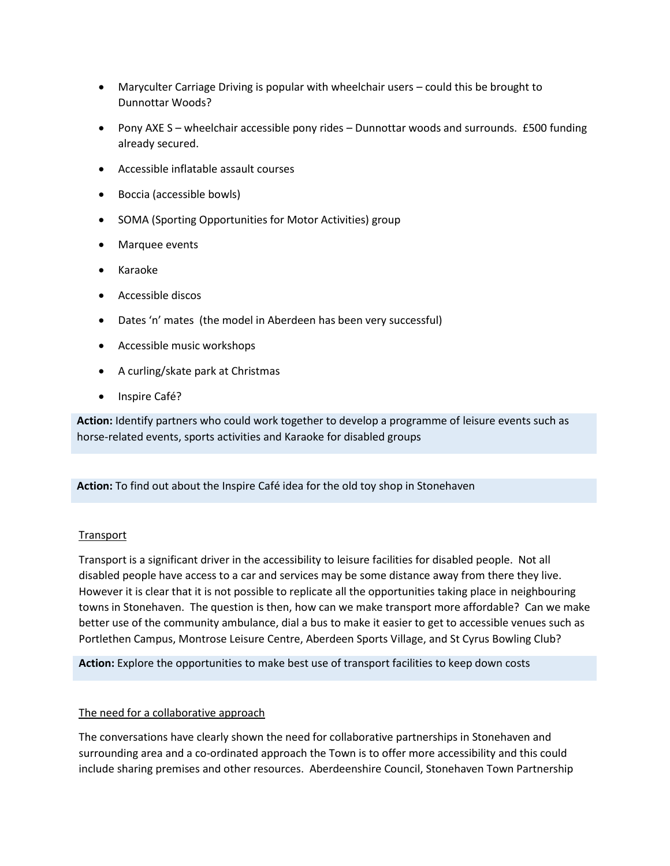- Maryculter Carriage Driving is popular with wheelchair users could this be brought to Dunnottar Woods?
- Pony AXE S wheelchair accessible pony rides Dunnottar woods and surrounds. £500 funding already secured.
- Accessible inflatable assault courses
- Boccia (accessible bowls)
- SOMA (Sporting Opportunities for Motor Activities) group
- Marquee events
- Karaoke
- Accessible discos
- Dates 'n' mates (the model in Aberdeen has been very successful)
- Accessible music workshops
- A curling/skate park at Christmas
- Inspire Café?

**Action:** Identify partners who could work together to develop a programme of leisure events such as horse-related events, sports activities and Karaoke for disabled groups

**Action:** To find out about the Inspire Café idea for the old toy shop in Stonehaven

# **Transport**

Transport is a significant driver in the accessibility to leisure facilities for disabled people. Not all disabled people have access to a car and services may be some distance away from there they live. However it is clear that it is not possible to replicate all the opportunities taking place in neighbouring towns in Stonehaven. The question is then, how can we make transport more affordable? Can we make better use of the community ambulance, dial a bus to make it easier to get to accessible venues such as Portlethen Campus, Montrose Leisure Centre, Aberdeen Sports Village, and St Cyrus Bowling Club?

**Action:** Explore the opportunities to make best use of transport facilities to keep down costs

# The need for a collaborative approach

The conversations have clearly shown the need for collaborative partnerships in Stonehaven and surrounding area and a co-ordinated approach the Town is to offer more accessibility and this could include sharing premises and other resources. Aberdeenshire Council, Stonehaven Town Partnership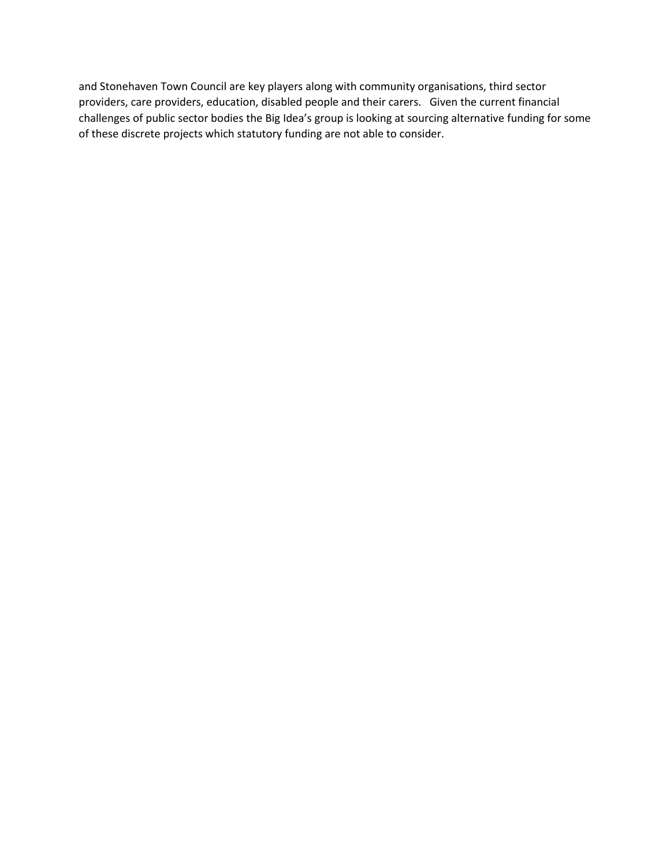and Stonehaven Town Council are key players along with community organisations, third sector providers, care providers, education, disabled people and their carers. Given the current financial challenges of public sector bodies the Big Idea's group is looking at sourcing alternative funding for some of these discrete projects which statutory funding are not able to consider.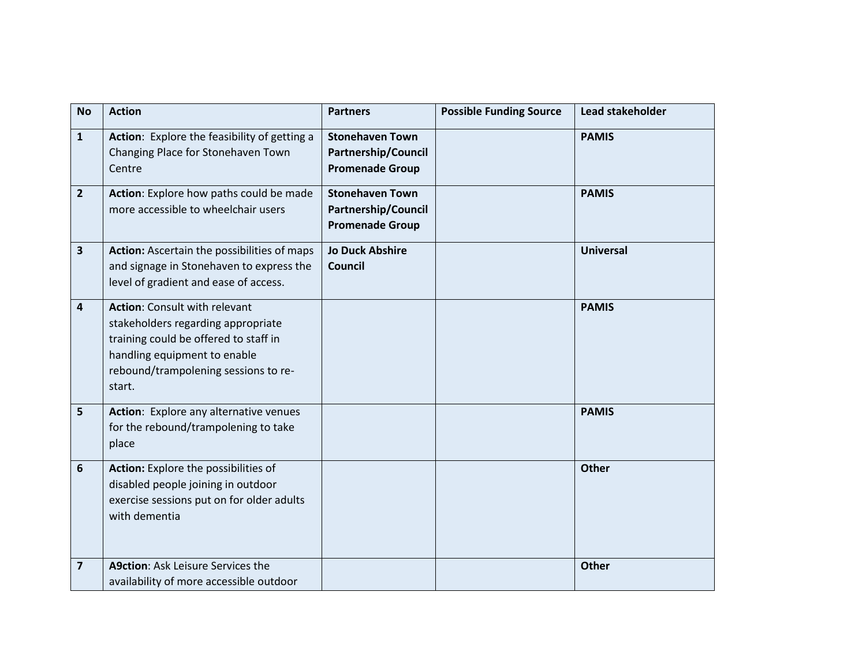| <b>No</b>               | <b>Action</b>                                                                                                                                                                                         | <b>Partners</b>                                                                | <b>Possible Funding Source</b> | Lead stakeholder |
|-------------------------|-------------------------------------------------------------------------------------------------------------------------------------------------------------------------------------------------------|--------------------------------------------------------------------------------|--------------------------------|------------------|
| $\mathbf{1}$            | Action: Explore the feasibility of getting a<br>Changing Place for Stonehaven Town<br>Centre                                                                                                          | <b>Stonehaven Town</b><br><b>Partnership/Council</b><br><b>Promenade Group</b> |                                | <b>PAMIS</b>     |
| $\overline{2}$          | Action: Explore how paths could be made<br>more accessible to wheelchair users                                                                                                                        | <b>Stonehaven Town</b><br><b>Partnership/Council</b><br><b>Promenade Group</b> |                                | <b>PAMIS</b>     |
| $\overline{\mathbf{3}}$ | Action: Ascertain the possibilities of maps<br>and signage in Stonehaven to express the<br>level of gradient and ease of access.                                                                      | <b>Jo Duck Abshire</b><br><b>Council</b>                                       |                                | <b>Universal</b> |
| 4                       | <b>Action: Consult with relevant</b><br>stakeholders regarding appropriate<br>training could be offered to staff in<br>handling equipment to enable<br>rebound/trampolening sessions to re-<br>start. |                                                                                |                                | <b>PAMIS</b>     |
| 5                       | Action: Explore any alternative venues<br>for the rebound/trampolening to take<br>place                                                                                                               |                                                                                |                                | <b>PAMIS</b>     |
| 6                       | Action: Explore the possibilities of<br>disabled people joining in outdoor<br>exercise sessions put on for older adults<br>with dementia                                                              |                                                                                |                                | <b>Other</b>     |
| $\overline{\mathbf{z}}$ | <b>A9ction: Ask Leisure Services the</b><br>availability of more accessible outdoor                                                                                                                   |                                                                                |                                | <b>Other</b>     |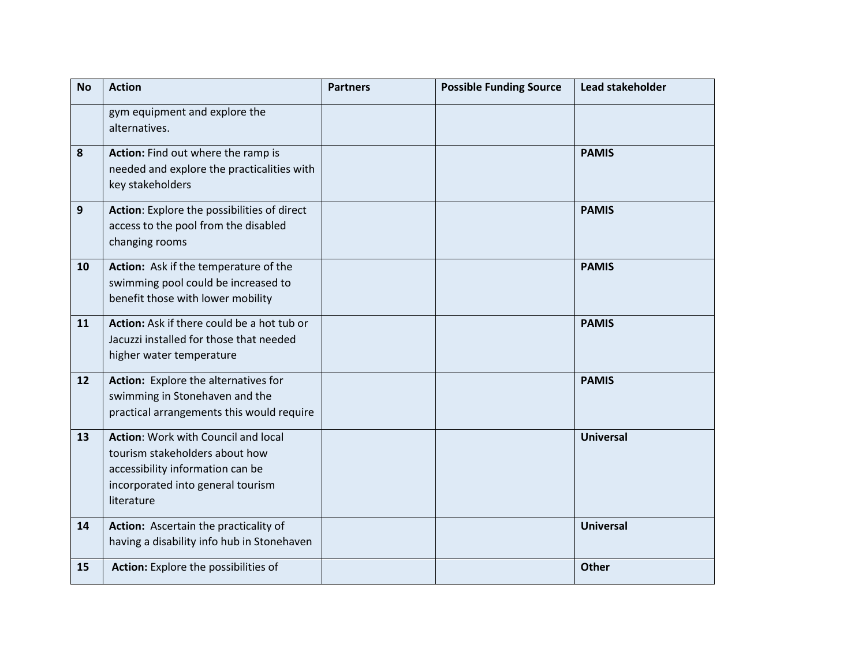| <b>No</b> | <b>Action</b>                                                                                                                                                | <b>Partners</b> | <b>Possible Funding Source</b> | Lead stakeholder |
|-----------|--------------------------------------------------------------------------------------------------------------------------------------------------------------|-----------------|--------------------------------|------------------|
|           | gym equipment and explore the<br>alternatives.                                                                                                               |                 |                                |                  |
| 8         | Action: Find out where the ramp is<br>needed and explore the practicalities with<br>key stakeholders                                                         |                 |                                | <b>PAMIS</b>     |
| 9         | Action: Explore the possibilities of direct<br>access to the pool from the disabled<br>changing rooms                                                        |                 |                                | <b>PAMIS</b>     |
| 10        | Action: Ask if the temperature of the<br>swimming pool could be increased to<br>benefit those with lower mobility                                            |                 |                                | <b>PAMIS</b>     |
| 11        | Action: Ask if there could be a hot tub or<br>Jacuzzi installed for those that needed<br>higher water temperature                                            |                 |                                | <b>PAMIS</b>     |
| 12        | Action: Explore the alternatives for<br>swimming in Stonehaven and the<br>practical arrangements this would require                                          |                 |                                | <b>PAMIS</b>     |
| 13        | Action: Work with Council and local<br>tourism stakeholders about how<br>accessibility information can be<br>incorporated into general tourism<br>literature |                 |                                | <b>Universal</b> |
| 14        | Action: Ascertain the practicality of<br>having a disability info hub in Stonehaven                                                                          |                 |                                | <b>Universal</b> |
| 15        | <b>Action:</b> Explore the possibilities of                                                                                                                  |                 |                                | <b>Other</b>     |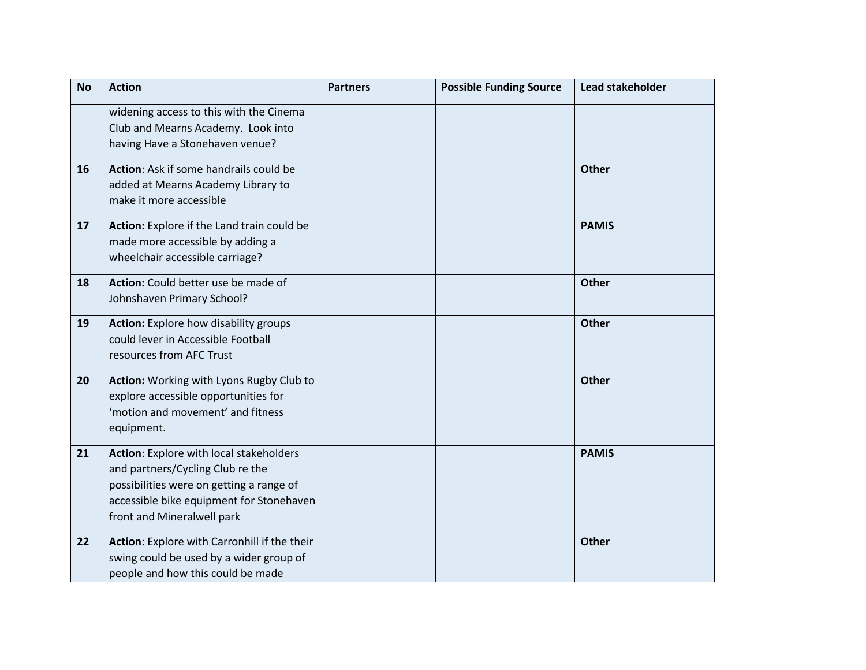| <b>No</b> | <b>Action</b>                                                                                                                                                                                     | <b>Partners</b> | <b>Possible Funding Source</b> | Lead stakeholder |
|-----------|---------------------------------------------------------------------------------------------------------------------------------------------------------------------------------------------------|-----------------|--------------------------------|------------------|
|           | widening access to this with the Cinema<br>Club and Mearns Academy. Look into<br>having Have a Stonehaven venue?                                                                                  |                 |                                |                  |
| 16        | Action: Ask if some handrails could be<br>added at Mearns Academy Library to<br>make it more accessible                                                                                           |                 |                                | Other            |
| 17        | Action: Explore if the Land train could be<br>made more accessible by adding a<br>wheelchair accessible carriage?                                                                                 |                 |                                | <b>PAMIS</b>     |
| 18        | Action: Could better use be made of<br>Johnshaven Primary School?                                                                                                                                 |                 |                                | Other            |
| 19        | <b>Action:</b> Explore how disability groups<br>could lever in Accessible Football<br>resources from AFC Trust                                                                                    |                 |                                | Other            |
| 20        | Action: Working with Lyons Rugby Club to<br>explore accessible opportunities for<br>'motion and movement' and fitness<br>equipment.                                                               |                 |                                | Other            |
| 21        | Action: Explore with local stakeholders<br>and partners/Cycling Club re the<br>possibilities were on getting a range of<br>accessible bike equipment for Stonehaven<br>front and Mineralwell park |                 |                                | <b>PAMIS</b>     |
| 22        | Action: Explore with Carronhill if the their<br>swing could be used by a wider group of<br>people and how this could be made                                                                      |                 |                                | Other            |